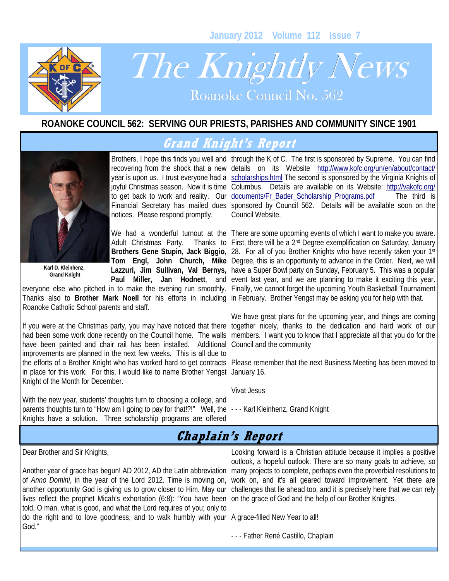**January 2012 Volume 112 Issue 7** 



# The Knightly News

Roanoke Council No. 562

#### **ROANOKE COUNCIL 562: SERVING OUR PRIESTS, PARISHES AND COMMUNITY SINCE 1901**

## **Grand Knight's Report**



**Karl D. Kleinhenz, Grand Knight** 

notices. Please respond promptly.

Adult Christmas Party.

Thanks also to **Brother Mark Noell** for his efforts in including in February. Brother Yengst may be asking you for help with that. Roanoke Catholic School parents and staff.

have been painted and chair rail has been installed. Additional Council and the community improvements are planned in the next few weeks. This is all due to in place for this work. For this, I would like to name Brother Yengst January 16. Knight of the Month for December.

With the new year, students' thoughts turn to choosing a college, and parents thoughts turn to "How am I going to pay for that!?!" Well, the - - - Karl Kleinhenz, Grand Knight Knights have a solution. Three scholarship programs are offered

Brothers, I hope this finds you well and through the K of C. The first is sponsored by Supreme. You can find recovering from the shock that a new details on its Website http://www.kofc.org/un/en/about/contact/ year is upon us. I trust everyone had a scholarships.html The second is sponsored by the Virginia Knights of joyful Christmas season. Now it is time Columbus. Details are available on its Website: http://vakofc.org/ to get back to work and reality. Our documents/Fr\_Bader\_Scholarship\_Programs.pdf The third is Financial Secretary has mailed dues sponsored by Council 562. Details will be available soon on the Council Website.

We had a wonderful turnout at the There are some upcoming events of which I want to make you aware. Brothers Gene Stupin, Jack Biggio, 28. For all of you Brother Knights who have recently taken your 1st **Tom Engl, John Church, Mike**  Degree, this is an opportunity to advance in the Order. Next, we will Lazzuri, Jim Sullivan, Val Bernys, have a Super Bowl party on Sunday, February 5. This was a popular Paul Miller, Jan Hodnett, and event last year, and we are planning to make it exciting this year. everyone else who pitched in to make the evening run smoothly. Finally, we cannot forget the upcoming Youth Basketball Tournament Thanks to First, there will be a 2<sup>nd</sup> Degree exemplification on Saturday, January

If you were at the Christmas party, you may have noticed that there together nicely, thanks to the dedication and hard work of our had been some work done recently on the Council home. The walls members. I want you to know that I appreciate all that you do for the We have great plans for the upcoming year, and things are coming

the efforts of a Brother Knight who has worked hard to get contracts Please remember that the next Business Meeting has been moved to

#### Vivat Jesus

## **Chaplain's Report**

Dear Brother and Sir Knights,

Another year of grace has begun! AD 2012, AD the Latin abbreviation of *Anno Domini*, in the year of the Lord 2012. Time is moving on, another opportunity God is giving us to grow closer to Him. May our lives reflect the prophet Micah's exhortation (6:8): "You have been on the grace of God and the help of our Brother Knights. told, O man, what is good, and what the Lord requires of you; only to do the right and to love goodness, and to walk humbly with your A grace-filled New Year to all! God."

Looking forward is a Christian attitude because it implies a positive outlook, a hopeful outlook. There are so many goals to achieve, so many projects to complete, perhaps even the proverbial resolutions to work on, and it's all geared toward improvement. Yet there are challenges that lie ahead too, and it is precisely here that we can rely

- - - Father René Castillo, Chaplain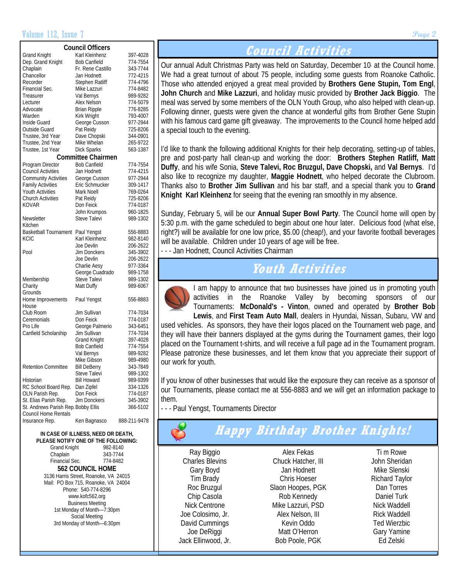#### Volume 112, Issue 7 **Page 2**

| <b>Council Officers</b>             |                           |              |  |  |  |  |  |  |  |
|-------------------------------------|---------------------------|--------------|--|--|--|--|--|--|--|
| <b>Grand Knight</b>                 | Karl Kleinhenz            | 397-4028     |  |  |  |  |  |  |  |
| Dep. Grand Knight                   | <b>Bob Canfield</b>       | 774-7554     |  |  |  |  |  |  |  |
| Chaplain                            | Fr. Rene Castillo         | 343-7744     |  |  |  |  |  |  |  |
| Chancellor                          | Jan Hodnett               | 772-4215     |  |  |  |  |  |  |  |
| Recorder                            | Stephen Ratliff           | 774-4796     |  |  |  |  |  |  |  |
| Financial Sec.                      |                           | 774-8482     |  |  |  |  |  |  |  |
|                                     | Mike Lazzuri              |              |  |  |  |  |  |  |  |
| Treasurer                           | Val Bernys                | 989-9282     |  |  |  |  |  |  |  |
| Lecturer                            | Alex Nelson               | 774-5079     |  |  |  |  |  |  |  |
| Advocate                            | <b>Brian Ripple</b>       | 776-8285     |  |  |  |  |  |  |  |
| Warden                              | Kirk Wright               | 793-4007     |  |  |  |  |  |  |  |
| Inside Guard                        | George Cusson             | 977-2944     |  |  |  |  |  |  |  |
| Outside Guard                       | Pat Reidy                 | 725-8206     |  |  |  |  |  |  |  |
| Trustee, 3rd Year                   | Dave Chopski              | 344-0901     |  |  |  |  |  |  |  |
| Trustee, 2nd Year                   | Mike Whelan               | 265-9722     |  |  |  |  |  |  |  |
| Trustee, 1st Year                   | <b>Dick Sparks</b>        | 563-1387     |  |  |  |  |  |  |  |
|                                     | <b>Committee Chairmen</b> |              |  |  |  |  |  |  |  |
| Program Director                    | <b>Bob Canfield</b>       | 774-7554     |  |  |  |  |  |  |  |
| <b>Council Activities</b>           | Jan Hodnett               | 774-4215     |  |  |  |  |  |  |  |
| <b>Community Activities</b>         | George Cusson             | 977-2944     |  |  |  |  |  |  |  |
| <b>Family Activities</b>            | Eric Schmucker            | 309-1417     |  |  |  |  |  |  |  |
| Youth Activities                    | Mark Noell                | 769-0264     |  |  |  |  |  |  |  |
|                                     |                           | 725-8206     |  |  |  |  |  |  |  |
| <b>Church Activities</b>            | Pat Reidy                 |              |  |  |  |  |  |  |  |
| KOVAR                               | Don Feick                 | 774-0187     |  |  |  |  |  |  |  |
|                                     | John Krumpos              | 960-1825     |  |  |  |  |  |  |  |
| Newsletter                          | Steve Talevi              | 989-1302     |  |  |  |  |  |  |  |
| Kitchen                             |                           |              |  |  |  |  |  |  |  |
| <b>Basketball Tournament</b>        | Paul Yengst               | 556-8883     |  |  |  |  |  |  |  |
| KCIC                                | Karl Kleinhenz            | 982-8140     |  |  |  |  |  |  |  |
|                                     | Joe Devlin                | 206-2622     |  |  |  |  |  |  |  |
| Pool                                | Jim Donckers              | 345-3902     |  |  |  |  |  |  |  |
|                                     | Joe Devlin                | 206-2622     |  |  |  |  |  |  |  |
|                                     | Charlie Aesy              | 977-3364     |  |  |  |  |  |  |  |
|                                     | George Cuadrado           | 989-1758     |  |  |  |  |  |  |  |
| Membership                          | Steve Talevi              | 989-1302     |  |  |  |  |  |  |  |
| Charity                             | Matt Duffy                | 989-6067     |  |  |  |  |  |  |  |
| Grounds                             |                           |              |  |  |  |  |  |  |  |
| Home Improvements                   | Paul Yengst               | 556-8883     |  |  |  |  |  |  |  |
| House                               |                           |              |  |  |  |  |  |  |  |
| Club Room                           |                           |              |  |  |  |  |  |  |  |
|                                     | Jim Sullivan              | 774-7034     |  |  |  |  |  |  |  |
| Ceremonials                         | Don Feick                 | 774-0187     |  |  |  |  |  |  |  |
| Pro Life                            | George Palmerio           | 343-6451     |  |  |  |  |  |  |  |
| Canfield Scholarship                | Jim Sullivan              | 774-7034     |  |  |  |  |  |  |  |
|                                     | <b>Grand Knight</b>       | 397-4028     |  |  |  |  |  |  |  |
|                                     | <b>Bob Canfield</b>       | 774-7554     |  |  |  |  |  |  |  |
|                                     | Val Bernys                | 989-9282     |  |  |  |  |  |  |  |
|                                     | Mike Gibson               | 989-4980     |  |  |  |  |  |  |  |
| Retention Committee                 | Bill DeBerry              | 343-7849     |  |  |  |  |  |  |  |
|                                     | <b>Steve Talevi</b>       | 989-1302     |  |  |  |  |  |  |  |
| Historian                           | <b>Bill Howard</b>        | 989-9399     |  |  |  |  |  |  |  |
| RC School Board Rep.                | Dan Zipfel                | 334-1326     |  |  |  |  |  |  |  |
| OLN Parish Rep.                     | Don Feick                 | 774-0187     |  |  |  |  |  |  |  |
| St. Elias Parish Rep.               | Jim Donckers              | 345-3902     |  |  |  |  |  |  |  |
| St. Andrews Parish Rep. Bobby Ellis |                           | 366-5102     |  |  |  |  |  |  |  |
| <b>Council Home Rentals</b>         |                           |              |  |  |  |  |  |  |  |
| Insurance Rep.                      |                           | 888-211-9478 |  |  |  |  |  |  |  |
|                                     | Ken Bagnasco              |              |  |  |  |  |  |  |  |

#### **IN CASE OF ILLNESS, NEED OR DEATH, PLEASE NOTIFY ONE OF THE FOLLOWING:**  Grand Knight 982-8140  $\frac{1}{2}$ Chaplain 343-7744  $Einomial Soc$

|                                       | $1.1 - 1.1 - 1.12$ |  |  |  |  |  |
|---------------------------------------|--------------------|--|--|--|--|--|
| 562 COUNCIL HOME                      |                    |  |  |  |  |  |
| 3136 Harris Street, Roanoke, VA 24015 |                    |  |  |  |  |  |
| Mail: PO Box 715, Roanoke, VA 24004   |                    |  |  |  |  |  |
| Phone: 540-774-8296                   |                    |  |  |  |  |  |
| www.kofc562.org                       |                    |  |  |  |  |  |
| <b>Business Meeting</b>               |                    |  |  |  |  |  |
| 1st Monday of Month-7:30pm            |                    |  |  |  |  |  |
| Social Meeting                        |                    |  |  |  |  |  |
| 3rd Monday of Month-6:30pm            |                    |  |  |  |  |  |
|                                       |                    |  |  |  |  |  |

### **Council Activities**

Our annual Adult Christmas Party was held on Saturday, December 10, at the Council home. We had a great turnout of about 75 people, including some guests from Roanoke Catholic. Those who attended enjoyed a great meal provided by **Brothers Gene Stupin, Tom Engl**, **John Church** and **Mike Lazzuri**, and holiday music provided by **Brother Jack Biggio**. The meal was served by some members of the OLN Youth Group, who also helped with clean-up. Following dinner, guests were given the chance at wonderful gifts from Brother Gene Stupin with his famous card game gift giveaway. The improvements to the Council home helped add a special touch to the evening.

I'd like to thank the following additional Knights for their help decorating, setting-up of tables, pre and post-party hall clean-up and working the door: **Brothers Stephen Ratliff, Matt Duffy**, and his wife Sonia, **Steve Talevi, Roc Bruzgul, Dave Chopski,** and **Val Bernys**. I'd also like to recognize my daughter, **Maggie Hodnett**, who helped decorate the Clubroom. Thanks also to **Brother Jim Sullivan** and his bar staff, and a special thank you to **Grand Knight Karl Kleinhenz** for seeing that the evening ran smoothly in my absence.

Sunday, February 5, will be our **Annual Super Bowl Party**. The Council home will open by 5:30 p.m. with the game scheduled to begin about one hour later. Delicious food (what else, right?) will be available for one low price, \$5.00 (cheap!), and your favorite football beverages will be available. Children under 10 years of age will be free. - - - Jan Hodnett, Council Activities Chairman

# **Youth Activities**



I am happy to announce that two businesses have joined us in promoting youth activities in the Roanoke Valley by becoming sponsors of our Tournaments: **McDonald's - Vinton**, owned and operated by **Brother Bob Lewis**, and **First Team Auto Mall**, dealers in Hyundai, Nissan, Subaru, VW and

used vehicles. As sponsors, they have their logos placed on the Tournament web page, and they will have their banners displayed at the gyms during the Tournament games, their logo placed on the Tournament t-shirts, and will receive a full page ad in the Tournament program. Please patronize these businesses, and let them know that you appreciate their support of our work for youth.

If you know of other businesses that would like the exposure they can receive as a sponsor of our Tournaments, please contact me at 556-8883 and we will get an information package to them.

- - - Paul Yengst, Tournaments Director

# **Happy Birthday Brother Knights!**

Ray Biggio Charles Blevins Gary Boyd Tim Brady Roc Bruzgul Chip Casola Nick Centrone Joe Colosimo, Jr. David Cummings Joe DeRiggi Jack Ellinwood, Jr.

Alex Fekas Chuck Hatcher, III Jan Hodnett Chris Hoeser Slaon Hoopes, PGK Rob Kennedy Mike Lazzuri, PSD Alex Nelson, III Kevin Oddo Matt O'Herron Bob Poole, PGK

Ti m Rowe John Sheridan Mike Slenski Richard Taylor Dan Torres Daniel Turk Nick Waddell Rick Waddell Ted Wierzbic Gary Yamine Ed Zelski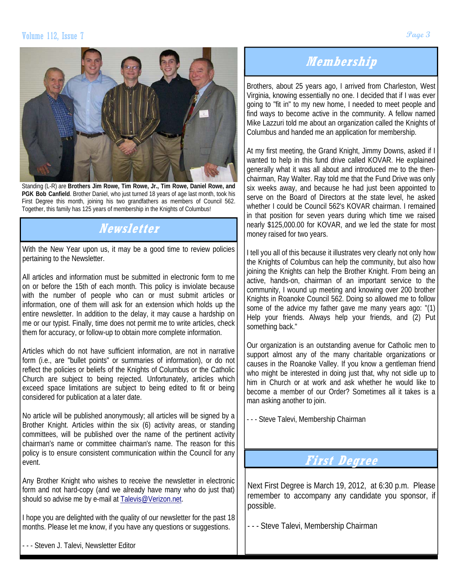

Standing (L-R) are **Brothers Jim Rowe, Tim Rowe, Jr., Tim Rowe, Daniel Rowe, and PGK Bob Canfield**. Brother Daniel, who just turned 18 years of age last month, took his First Degree this month, joining his two grandfathers as members of Council 562. Together, this family has 125 years of membership in the Knights of Columbus!

# **Newsletter**

With the New Year upon us, it may be a good time to review policies pertaining to the Newsletter.

All articles and information must be submitted in electronic form to me on or before the 15th of each month. This policy is inviolate because with the number of people who can or must submit articles or information, one of them will ask for an extension which holds up the entire newsletter. In addition to the delay, it may cause a hardship on me or our typist. Finally, time does not permit me to write articles, check them for accuracy, or follow-up to obtain more complete information.

Articles which do not have sufficient information, are not in narrative form (i.e., are "bullet points" or summaries of information), or do not reflect the policies or beliefs of the Knights of Columbus or the Catholic Church are subject to being rejected. Unfortunately, articles which exceed space limitations are subject to being edited to fit or being considered for publication at a later date.

No article will be published anonymously; all articles will be signed by a Brother Knight. Articles within the six (6) activity areas, or standing committees, will be published over the name of the pertinent activity chairman's name or committee chairman's name. The reason for this policy is to ensure consistent communication within the Council for any event.

Any Brother Knight who wishes to receive the newsletter in electronic form and not hard-copy (and we already have many who do just that) should so advise me by e-mail at Talevis@Verizon.net.

I hope you are delighted with the quality of our newsletter for the past 18 months. Please let me know, if you have any questions or suggestions.

- - - Steven J. Talevi, Newsletter Editor

# **Membership**

Brothers, about 25 years ago, I arrived from Charleston, West Virginia, knowing essentially no one. I decided that if I was ever going to "fit in" to my new home, I needed to meet people and find ways to become active in the community. A fellow named Mike Lazzuri told me about an organization called the Knights of Columbus and handed me an application for membership.

At my first meeting, the Grand Knight, Jimmy Downs, asked if I wanted to help in this fund drive called KOVAR. He explained generally what it was all about and introduced me to the thenchairman, Ray Walter. Ray told me that the Fund Drive was only six weeks away, and because he had just been appointed to serve on the Board of Directors at the state level, he asked whether I could be Council 562's KOVAR chairman. I remained in that position for seven years during which time we raised nearly \$125,000.00 for KOVAR, and we led the state for most money raised for two years.

I tell you all of this because it illustrates very clearly not only how the Knights of Columbus can help the community, but also how joining the Knights can help the Brother Knight. From being an active, hands-on, chairman of an important service to the community, I wound up meeting and knowing over 200 brother Knights in Roanoke Council 562. Doing so allowed me to follow some of the advice my father gave me many years ago: "(1) Help your friends. Always help your friends, and (2) Put something back."

Our organization is an outstanding avenue for Catholic men to support almost any of the many charitable organizations or causes in the Roanoke Valley. If you know a gentleman friend who might be interested in doing just that, why not sidle up to him in Church or at work and ask whether he would like to become a member of our Order? Sometimes all it takes is a man asking another to join.

- - - Steve Talevi, Membership Chairman

#### **First Degree**

Next First Degree is March 19, 2012, at 6:30 p.m. Please remember to accompany any candidate you sponsor, if possible.

- - - Steve Talevi, Membership Chairman